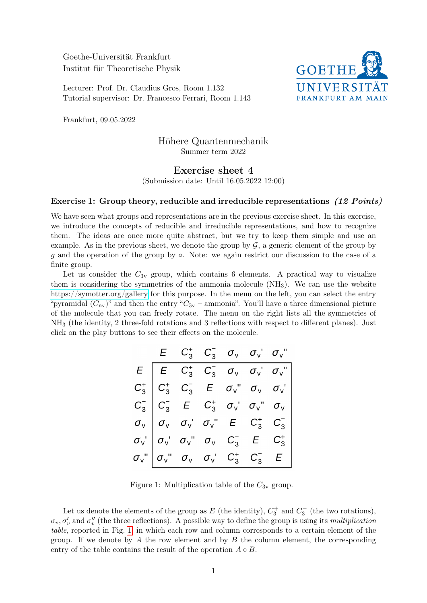Goethe-Universität Frankfurt Institut für Theoretische Physik

Lecturer: Prof. Dr. Claudius Gros, Room 1.132 Tutorial supervisor: Dr. Francesco Ferrari, Room 1.143



Frankfurt, 09.05.2022

## Höhere Quantenmechanik Summer term 2022

## Exercise sheet 4 (Submission date: Until 16.05.2022 12:00)

## Exercise 1: Group theory, reducible and irreducible representations (12 Points)

We have seen what groups and representations are in the previous exercise sheet. In this exercise, we introduce the concepts of reducible and irreducible representations, and how to recognize them. The ideas are once more quite abstract, but we try to keep them simple and use an example. As in the previous sheet, we denote the group by  $\mathcal{G}$ , a generic element of the group by g and the operation of the group by  $\circ$ . Note: we again restrict our discussion to the case of a finite group.

Let us consider the  $C_{3v}$  group, which contains 6 elements. A practical way to visualize them is considering the symmetries of the ammonia molecule  $(NH<sub>3</sub>)$ . We can use the website <https://symotter.org/gallery> for this purpose. In the menu on the left, you can select the entry "pyramidal  $(C_{\text{nv}})$ " and then the entry " $C_{3v}$  – ammonia". You'll have a three dimensional picture of the molecule that you can freely rotate. The menu on the right lists all the symmetries of NH<sup>3</sup> (the identity, 2 three-fold rotations and 3 reflections with respect to different planes). Just click on the play buttons to see their effects on the molecule.

|                                                                                                                                                                                                                                                                                                                                                                                                                                           | $E \t C_3^+ C_3^- \t \sigma_v \t \sigma_v \t \sigma_v$ |  |  |
|-------------------------------------------------------------------------------------------------------------------------------------------------------------------------------------------------------------------------------------------------------------------------------------------------------------------------------------------------------------------------------------------------------------------------------------------|--------------------------------------------------------|--|--|
|                                                                                                                                                                                                                                                                                                                                                                                                                                           |                                                        |  |  |
|                                                                                                                                                                                                                                                                                                                                                                                                                                           |                                                        |  |  |
|                                                                                                                                                                                                                                                                                                                                                                                                                                           |                                                        |  |  |
|                                                                                                                                                                                                                                                                                                                                                                                                                                           |                                                        |  |  |
|                                                                                                                                                                                                                                                                                                                                                                                                                                           |                                                        |  |  |
| $\begin{array}{l} E\hskip-6.5cm \overline{ \begin{array}{cccccccccccccc} E& C_3^+ & C_3^- & \sigma_{\sf v} & \sigma_{\sf v} & \sigma_{\sf v}^+ & \sigma_{\sf v}^+ \end{array}}\hskip-6.5cm & C_3^+ & C_3^- & E& \sigma_{\sf v}^+ & \sigma_{\sf v} & \sigma_{\sf v}^+ & \sigma_{\sf v}^+ \cr C_3^- & C_3^- & E& C_3^+ & \sigma_{\sf v}^+ & \sigma_{\sf v}^+ & \sigma_{\sf v}^+ & \sigma_{\sf v}^+ \cr \sigma_{\sf v} & \sigma_{\sf v} & \$ |                                                        |  |  |

<span id="page-0-0"></span>Figure 1: Multiplication table of the  $C_{3v}$  group.

Let us denote the elements of the group as  $E$  (the identity),  $C_3^+$  and  $C_3^-$  (the two rotations),  $\sigma_v, \sigma'_v$  and  $\sigma''_v$  (the three reflections). A possible way to define the group is using its *multiplication* table, reported in Fig. [1,](#page-0-0) in which each row and column corresponds to a certain element of the group. If we denote by A the row element and by B the column element, the corresponding entry of the table contains the result of the operation  $A \circ B$ .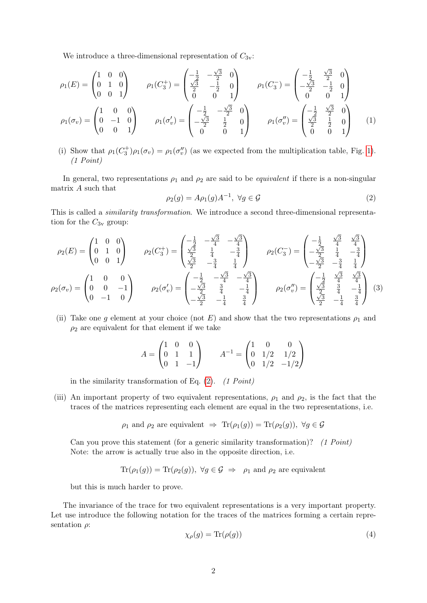We introduce a three-dimensional representation of  $C_{3v}$ :

<span id="page-1-1"></span>
$$
\rho_1(E) = \begin{pmatrix} 1 & 0 & 0 \\ 0 & 1 & 0 \\ 0 & 0 & 1 \end{pmatrix} \qquad \rho_1(C_3^+) = \begin{pmatrix} -\frac{1}{2} & -\frac{\sqrt{3}}{2} & 0 \\ \frac{\sqrt{3}}{2} & -\frac{1}{2} & 0 \\ 0 & 0 & 1 \end{pmatrix} \qquad \rho_1(C_3^-) = \begin{pmatrix} -\frac{1}{2} & \frac{\sqrt{3}}{2} & 0 \\ -\frac{\sqrt{3}}{2} & -\frac{1}{2} & 0 \\ 0 & 0 & 1 \end{pmatrix}
$$

$$
\rho_1(\sigma_v) = \begin{pmatrix} 1 & 0 & 0 \\ 0 & -1 & 0 \\ 0 & 0 & 1 \end{pmatrix} \qquad \rho_1(\sigma_v') = \begin{pmatrix} -\frac{1}{2} & -\frac{\sqrt{3}}{2} & 0 \\ -\frac{\sqrt{3}}{2} & \frac{1}{2} & 0 \\ 0 & 0 & 1 \end{pmatrix} \qquad \rho_1(\sigma_v'') = \begin{pmatrix} -\frac{1}{2} & \frac{\sqrt{3}}{2} & 0 \\ \frac{\sqrt{3}}{2} & \frac{1}{2} & 0 \\ 0 & 0 & 1 \end{pmatrix} \qquad (1)
$$

(i) Show that  $\rho_1(C_3^+) \rho_1(\sigma_v) = \rho_1(\sigma_v'')$  (as we expected from the multiplication table, Fig. [1\)](#page-0-0). (1 Point)

In general, two representations  $\rho_1$  and  $\rho_2$  are said to be *equivalent* if there is a non-singular matrix A such that

<span id="page-1-0"></span>
$$
\rho_2(g) = A\rho_1(g)A^{-1}, \ \forall g \in \mathcal{G}
$$
\n<sup>(2)</sup>

This is called a similarity transformation. We introduce a second three-dimensional representation for the  $C_{3v}$  group:

$$
\rho_2(E) = \begin{pmatrix} 1 & 0 & 0 \\ 0 & 1 & 0 \\ 0 & 0 & 1 \end{pmatrix} \qquad \rho_2(C_3^+) = \begin{pmatrix} -\frac{1}{2} & -\frac{\sqrt{3}}{4} & -\frac{\sqrt{3}}{4} \\ \frac{\sqrt{3}}{2} & \frac{1}{4} & -\frac{3}{4} \\ \frac{\sqrt{3}}{2} & -\frac{3}{4} & \frac{1}{4} \end{pmatrix} \qquad \rho_2(C_3^-) = \begin{pmatrix} -\frac{1}{2} & \frac{\sqrt{3}}{4} & \frac{\sqrt{3}}{4} \\ -\frac{\sqrt{3}}{2} & \frac{1}{4} & -\frac{3}{4} \\ -\frac{\sqrt{3}}{2} & -\frac{3}{4} & \frac{1}{4} \end{pmatrix}
$$

$$
\rho_2(\sigma_v) = \begin{pmatrix} 1 & 0 & 0 \\ 0 & 0 & -1 \\ 0 & -1 & 0 \end{pmatrix} \qquad \rho_2(\sigma_v') = \begin{pmatrix} -\frac{1}{2} & -\frac{\sqrt{3}}{4} & -\frac{\sqrt{3}}{4} \\ -\frac{\sqrt{3}}{2} & \frac{3}{4} & -\frac{1}{4} \\ -\frac{\sqrt{3}}{2} & \frac{3}{4} & -\frac{1}{4} \end{pmatrix} \qquad \rho_2(\sigma_v'') = \begin{pmatrix} -\frac{1}{2} & \frac{\sqrt{3}}{4} & \frac{\sqrt{3}}{4} \\ \frac{\sqrt{3}}{2} & \frac{3}{4} & -\frac{1}{4} \\ \frac{\sqrt{3}}{2} & -\frac{1}{4} & \frac{3}{4} \end{pmatrix} \qquad (3)
$$

(ii) Take one g element at your choice (not E) and show that the two representations  $\rho_1$  and  $\rho_2$  are equivalent for that element if we take

$$
A = \begin{pmatrix} 1 & 0 & 0 \\ 0 & 1 & 1 \\ 0 & 1 & -1 \end{pmatrix} \qquad A^{-1} = \begin{pmatrix} 1 & 0 & 0 \\ 0 & 1/2 & 1/2 \\ 0 & 1/2 & -1/2 \end{pmatrix}
$$

in the similarity transformation of Eq.  $(2)$ .  $(1 Point)$ 

(iii) An important property of two equivalent representations,  $\rho_1$  and  $\rho_2$ , is the fact that the traces of the matrices representing each element are equal in the two representations, i.e.

 $\rho_1$  and  $\rho_2$  are equivalent  $\Rightarrow$  Tr $(\rho_1(g)) = \text{Tr}(\rho_2(g)), \ \forall g \in \mathcal{G}$ 

Can you prove this statement (for a generic similarity transformation)?  $(1 Point)$ Note: the arrow is actually true also in the opposite direction, i.e.

$$
\text{Tr}(\rho_1(g)) = \text{Tr}(\rho_2(g)), \ \forall g \in \mathcal{G} \ \Rightarrow \ \rho_1 \text{ and } \rho_2 \text{ are equivalent}
$$

but this is much harder to prove.

The invariance of the trace for two equivalent representations is a very important property. Let use introduce the following notation for the traces of the matrices forming a certain representation  $\rho$ :

$$
\chi_{\rho}(g) = \text{Tr}(\rho(g))\tag{4}
$$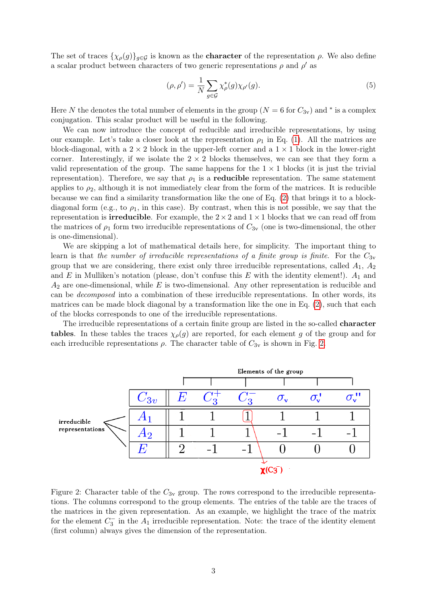The set of traces  $\{\chi_{\rho}(g)\}_{g\in\mathcal{G}}$  is known as the **character** of the representation  $\rho$ . We also define a scalar product between characters of two generic representations  $\rho$  and  $\rho'$  as

<span id="page-2-1"></span>
$$
(\rho, \rho') = \frac{1}{N} \sum_{g \in \mathcal{G}} \chi_{\rho}^*(g) \chi_{\rho'}(g).
$$
\n<sup>(5)</sup>

Here N the denotes the total number of elements in the group ( $N = 6$  for  $C_{3v}$ ) and  $*$  is a complex conjugation. This scalar product will be useful in the following.

We can now introduce the concept of reducible and irreducible representations, by using our example. Let's take a closer look at the representation  $\rho_1$  in Eq. [\(1\)](#page-1-1). All the matrices are block-diagonal, with a  $2 \times 2$  block in the upper-left corner and a  $1 \times 1$  block in the lower-right corner. Interestingly, if we isolate the  $2 \times 2$  blocks themselves, we can see that they form a valid representation of the group. The same happens for the  $1 \times 1$  blocks (it is just the trivial representation). Therefore, we say that  $\rho_1$  is a **reducible** representation. The same statement applies to  $\rho_2$ , although it is not immediately clear from the form of the matrices. It is reducible because we can find a similarity transformation like the one of Eq. [\(2\)](#page-1-0) that brings it to a blockdiagonal form (e.g., to  $\rho_1$ , in this case). By contrast, when this is not possible, we say that the representation is **irreducible**. For example, the  $2 \times 2$  and  $1 \times 1$  blocks that we can read off from the matrices of  $\rho_1$  form two irreducible representations of  $C_{3v}$  (one is two-dimensional, the other is one-dimensional).

We are skipping a lot of mathematical details here, for simplicity. The important thing to learn is that the number of irreducible representations of a finite group is finite. For the  $C_{3v}$ group that we are considering, there exist only three irreducible representations, called  $A_1$ ,  $A_2$ and E in Mulliken's notation (please, don't confuse this E with the identity element!).  $A_1$  and  $A_2$  are one-dimensional, while E is two-dimensional. Any other representation is reducible and can be decomposed into a combination of these irreducible representations. In other words, its matrices can be made block diagonal by a transformation like the one in Eq. [\(2\)](#page-1-0), such that each of the blocks corresponds to one of the irreducible representations.

The irreducible representations of a certain finite group are listed in the so-called character tables. In these tables the traces  $\chi_{\rho}(g)$  are reported, for each element g of the group and for each irreducible representations  $\rho$ . The character table of  $C_{3v}$  is shown in Fig. [2.](#page-2-0)



<span id="page-2-0"></span>Figure 2: Character table of the  $C_{3v}$  group. The rows correspond to the irreducible representations. The columns correspond to the group elements. The entries of the table are the traces of the matrices in the given representation. As an example, we highlight the trace of the matrix for the element  $C_3^-$  in the  $A_1$  irreducible representation. Note: the trace of the identity element (first column) always gives the dimension of the representation.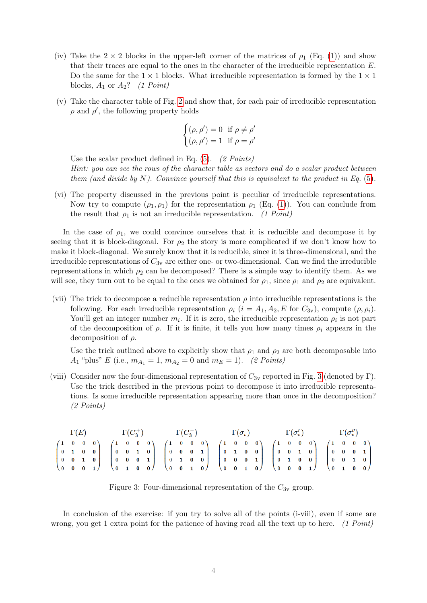- (iv) Take the  $2 \times 2$  blocks in the upper-left corner of the matrices of  $\rho_1$  (Eq. [\(1\)](#page-1-1)) and show that their traces are equal to the ones in the character of the irreducible representation E. Do the same for the  $1 \times 1$  blocks. What irreducible representation is formed by the  $1 \times 1$ blocks,  $A_1$  or  $A_2$ ? (1 Point)
- (v) Take the character table of Fig. [2](#page-2-0) and show that, for each pair of irreducible representation  $\rho$  and  $\rho'$ , the following property holds

$$
\begin{cases} (\rho, \rho') = 0 & \text{if } \rho \neq \rho' \\ (\rho, \rho') = 1 & \text{if } \rho = \rho' \end{cases}
$$

Use the scalar product defined in Eq.  $(5)$ .  $(2 Points)$ Hint: you can see the rows of the character table as vectors and do a scalar product between them (and divide by N). Convince yourself that this is equivalent to the product in Eq.  $(5)$ .

(vi) The property discussed in the previous point is peculiar of irreducible representations. Now try to compute  $(\rho_1, \rho_1)$  for the representation  $\rho_1$  (Eq. [\(1\)](#page-1-1)). You can conclude from the result that  $\rho_1$  is not an irreducible representation. (1 Point)

In the case of  $\rho_1$ , we could convince ourselves that it is reducible and decompose it by seeing that it is block-diagonal. For  $\rho_2$  the story is more complicated if we don't know how to make it block-diagonal. We surely know that it is reducible, since it is three-dimensional, and the irreducible representations of  $C_{3v}$  are either one- or two-dimensional. Can we find the irreducible representations in which  $\rho_2$  can be decomposed? There is a simple way to identify them. As we will see, they turn out to be equal to the ones we obtained for  $\rho_1$ , since  $\rho_1$  and  $\rho_2$  are equivalent.

(vii) The trick to decompose a reducible representation  $\rho$  into irreducible representations is the following. For each irreducible representation  $\rho_i$   $(i = A_1, A_2, E$  for  $C_{3v}$ , compute  $(\rho, \rho_i)$ . You'll get an integer number  $m_i$ . If it is zero, the irreducible representation  $\rho_i$  is not part of the decomposition of  $\rho$ . If it is finite, it tells you how many times  $\rho_i$  appears in the decomposition of  $\rho$ .

Use the trick outlined above to explicitly show that  $\rho_1$  and  $\rho_2$  are both decomposable into  $A_1$  "plus" E (i.e.,  $m_{A_1} = 1$ ,  $m_{A_2} = 0$  and  $m_E = 1$ ). (2 Points)

(viii) Consider now the four-dimensional representation of  $C_{3v}$  reported in Fig. [3](#page-3-0) (denoted by Γ). Use the trick described in the previous point to decompose it into irreducible representations. Is some irreducible representation appearing more than once in the decomposition? (2 Points)

|  |  |  | $\Gamma(E) \qquad \qquad \Gamma(C_3^+) \qquad \qquad \Gamma(C_3^-) \qquad \qquad \Gamma(\sigma_v) \qquad \qquad \Gamma(\sigma'_v) \qquad \qquad \Gamma(\sigma''_v)$ |                                                                                                                                                                                                                                                                                                                                                                             |  |  |  |  |  |  |  |  |  |  |  |  |  |  |  |  |  |  |  |
|--|--|--|---------------------------------------------------------------------------------------------------------------------------------------------------------------------|-----------------------------------------------------------------------------------------------------------------------------------------------------------------------------------------------------------------------------------------------------------------------------------------------------------------------------------------------------------------------------|--|--|--|--|--|--|--|--|--|--|--|--|--|--|--|--|--|--|--|
|  |  |  |                                                                                                                                                                     |                                                                                                                                                                                                                                                                                                                                                                             |  |  |  |  |  |  |  |  |  |  |  |  |  |  |  |  |  |  |  |
|  |  |  |                                                                                                                                                                     |                                                                                                                                                                                                                                                                                                                                                                             |  |  |  |  |  |  |  |  |  |  |  |  |  |  |  |  |  |  |  |
|  |  |  |                                                                                                                                                                     |                                                                                                                                                                                                                                                                                                                                                                             |  |  |  |  |  |  |  |  |  |  |  |  |  |  |  |  |  |  |  |
|  |  |  |                                                                                                                                                                     | $\begin{pmatrix} 1 & 0 & 0 & 0 \\ 0 & 1 & 0 & 0 \\ 0 & 0 & 1 & 0 \\ 0 & 0 & 0 & 1 \end{pmatrix} \quad \begin{pmatrix} 1 & 0 & 0 & 0 \\ 0 & 0 & 1 & 0 \\ 0 & 0 & 0 & 1 \\ 0 & 1 & 0 & 0 \end{pmatrix} \quad \begin{pmatrix} 1 & 0 & 0 & 0 \\ 0 & 0 & 0 & 1 \\ 0 & 1 & 0 & 0 \\ 0 & 0 & 1 & 0 \end{pmatrix} \quad \begin{pmatrix} 1 & 0 & 0 & 0 \\ 0 & 1 & 0 & 0 \\ 0 & 0 & $ |  |  |  |  |  |  |  |  |  |  |  |  |  |  |  |  |  |  |  |

<span id="page-3-0"></span>Figure 3: Four-dimensional representation of the  $C_{3v}$  group.

In conclusion of the exercise: if you try to solve all of the points (i-viii), even if some are wrong, you get 1 extra point for the patience of having read all the text up to here. (1 Point)